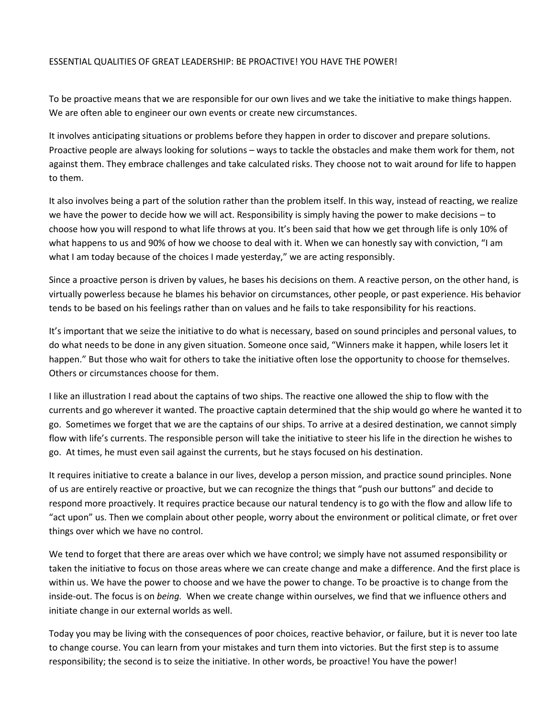## ESSENTIAL QUALITIES OF GREAT LEADERSHIP: BE PROACTIVE! YOU HAVE THE POWER!

To be proactive means that we are responsible for our own lives and we take the initiative to make things happen. We are often able to engineer our own events or create new circumstances.

It involves anticipating situations or problems before they happen in order to discover and prepare solutions. Proactive people are always looking for solutions – ways to tackle the obstacles and make them work for them, not against them. They embrace challenges and take calculated risks. They choose not to wait around for life to happen to them.

It also involves being a part of the solution rather than the problem itself. In this way, instead of reacting, we realize we have the power to decide how we will act. Responsibility is simply having the power to make decisions – to choose how you will respond to what life throws at you. It's been said that how we get through life is only 10% of what happens to us and 90% of how we choose to deal with it. When we can honestly say with conviction, "I am what I am today because of the choices I made yesterday," we are acting responsibly.

Since a proactive person is driven by values, he bases his decisions on them. A reactive person, on the other hand, is virtually powerless because he blames his behavior on circumstances, other people, or past experience. His behavior tends to be based on his feelings rather than on values and he fails to take responsibility for his reactions.

It's important that we seize the initiative to do what is necessary, based on sound principles and personal values, to do what needs to be done in any given situation. Someone once said, "Winners make it happen, while losers let it happen." But those who wait for others to take the initiative often lose the opportunity to choose for themselves. Others or circumstances choose for them.

I like an illustration I read about the captains of two ships. The reactive one allowed the ship to flow with the currents and go wherever it wanted. The proactive captain determined that the ship would go where he wanted it to go. Sometimes we forget that we are the captains of our ships. To arrive at a desired destination, we cannot simply flow with life's currents. The responsible person will take the initiative to steer his life in the direction he wishes to go. At times, he must even sail against the currents, but he stays focused on his destination.

It requires initiative to create a balance in our lives, develop a person mission, and practice sound principles. None of us are entirely reactive or proactive, but we can recognize the things that "push our buttons" and decide to respond more proactively. It requires practice because our natural tendency is to go with the flow and allow life to "act upon" us. Then we complain about other people, worry about the environment or political climate, or fret over things over which we have no control.

We tend to forget that there are areas over which we have control; we simply have not assumed responsibility or taken the initiative to focus on those areas where we can create change and make a difference. And the first place is within us. We have the power to choose and we have the power to change. To be proactive is to change from the inside-out. The focus is on *being.* When we create change within ourselves, we find that we influence others and initiate change in our external worlds as well.

Today you may be living with the consequences of poor choices, reactive behavior, or failure, but it is never too late to change course. You can learn from your mistakes and turn them into victories. But the first step is to assume responsibility; the second is to seize the initiative. In other words, be proactive! You have the power!